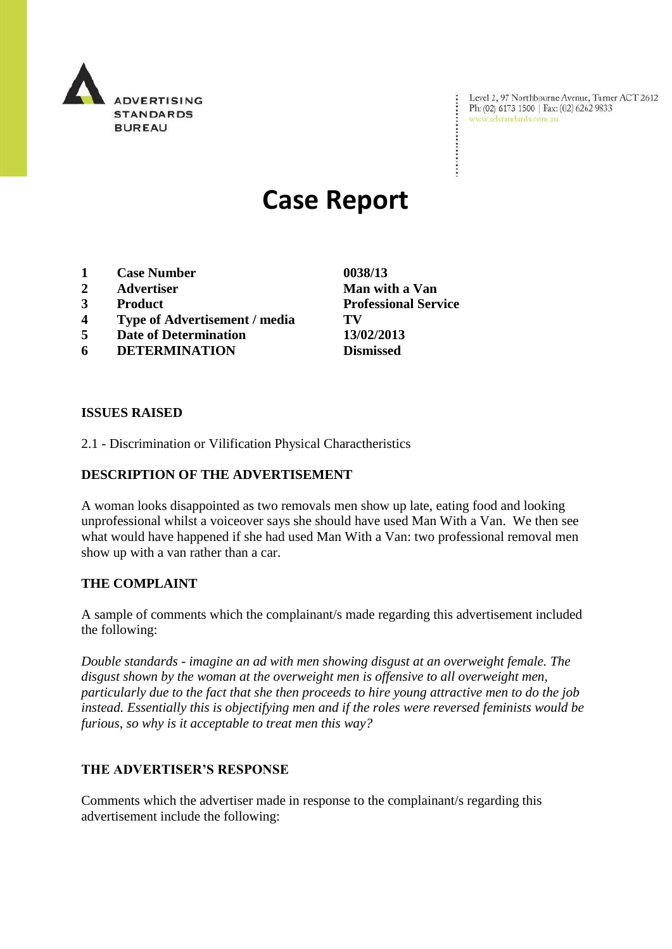

Level 2, 97 Northbourne Avenue, Turner ACT 2612 Ph: (02) 6173 1500 | Fax: (02) 6262 9833 www.adstandards.com.au

# **Case Report**

- **1 Case Number 0038/13**
- **2 Advertiser Man with a Van**
- 
- **4 Type of Advertisement / media TV**
- **5 Date of Determination 13/02/2013**
- **6 DETERMINATION Dismissed**

**ISSUES RAISED**

2.1 - Discrimination or Vilification Physical Charactheristics

### **DESCRIPTION OF THE ADVERTISEMENT**

A woman looks disappointed as two removals men show up late, eating food and looking unprofessional whilst a voiceover says she should have used Man With a Van. We then see what would have happened if she had used Man With a Van: two professional removal men show up with a van rather than a car.

## **THE COMPLAINT**

A sample of comments which the complainant/s made regarding this advertisement included the following:

*Double standards - imagine an ad with men showing disgust at an overweight female. The disgust shown by the woman at the overweight men is offensive to all overweight men, particularly due to the fact that she then proceeds to hire young attractive men to do the job instead. Essentially this is objectifying men and if the roles were reversed feminists would be furious, so why is it acceptable to treat men this way?*

#### **THE ADVERTISER'S RESPONSE**

Comments which the advertiser made in response to the complainant/s regarding this advertisement include the following:

**3 Product Professional Service**